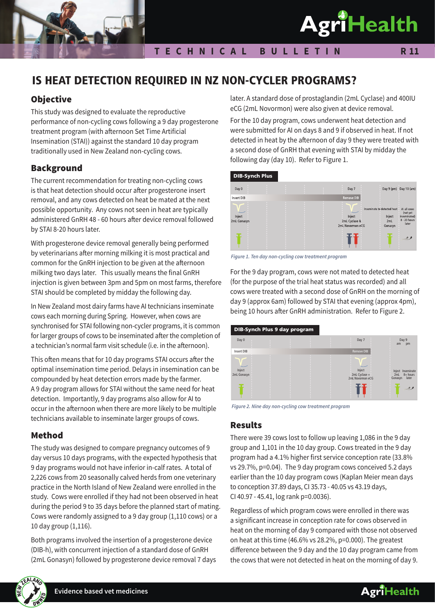

#### **T E C H N I C A L B U L L E T I N**

# IS HEAT DETECTION REQUIRED IN NZ NON-CYCLER PROGRAMS?

## **Objective**

This study was designed to evaluate the reproductive performance of non-cycling cows following a 9 day progesterone treatment program (with afternoon Set Time Artificial Insemination (STAI)) against the standard 10 day program traditionally used in New Zealand non-cycling cows.

## Background

The current recommendation for treating non-cycling cows is that heat detection should occur after progesterone insert removal, and any cows detected on heat be mated at the next possible opportunity. Any cows not seen in heat are typically administered GnRH 48 - 60 hours after device removal followed by STAI 8-20 hours later.

With progesterone device removal generally being performed by veterinarians after morning milking it is most practical and common for the GnRH injection to be given at the afternoon milking two days later. This usually means the final GnRH injection is given between 3pm and 5pm on most farms, therefore STAI should be completed by midday the following day.

In New Zealand most dairy farms have AI technicians inseminate cows each morning during Spring. However, when cows are synchronised for STAI following non-cycler programs, it is common for larger groups of cows to be inseminated after the completion of a technician's normal farm visit schedule (i.e. in the afternoon).

This often means that for 10 day programs STAI occurs after the optimal insemination time period. Delays in insemination can be compounded by heat detection errors made by the farmer. A 9 day program allows for STAI without the same need for heat detection. Importantly, 9 day programs also allow for AI to occur in the afternoon when there are more likely to be multiple technicians available to inseminate larger groups of cows.

## Method

The study was designed to compare pregnancy outcomes of 9 day versus 10 days programs, with the expected hypothesis that 9 day programs would not have inferior in-calf rates. A total of 2,226 cows from 20 seasonally calved herds from one veterinary practice in the North Island of New Zealand were enrolled in the study. Cows were enrolled if they had not been observed in heat during the period 9 to 35 days before the planned start of mating. Cows were randomly assigned to a 9 day group (1,110 cows) or a 10 day group (1,116).

Both programs involved the insertion of a progesterone device (DIB-h), with concurrent injection of a standard dose of GnRH (2mL Gonasyn) followed by progesterone device removal 7 days



For the 10 day program, cows underwent heat detection and were submitted for AI on days 8 and 9 if observed in heat. If not detected in heat by the afternoon of day 9 they were treated with a second dose of GnRH that evening with STAI by midday the following day (day 10). Refer to Figure 1.



*Figure 1. Ten day non-cycling cow treatment program*

For the 9 day program, cows were not mated to detected heat (for the purpose of the trial heat status was recorded) and all cows were treated with a second dose of GnRH on the morning of day 9 (approx 6am) followed by STAI that evening (approx 4pm), being 10 hours after GnRH administration. Refer to Figure 2.



*Figure 2. Nine day non-cycling cow treatment program*

## Results

There were 39 cows lost to follow up leaving 1,086 in the 9 day group and 1,101 in the 10 day group. Cows treated in the 9 day program had a 4.1% higher first service conception rate (33.8% vs 29.7%, p=0.04). The 9 day program cows conceived 5.2 days earlier than the 10 day program cows (Kaplan Meier mean days to conception 37.89 days, CI 35.73 - 40.05 vs 43.19 days, CI 40.97 - 45.41, log rank p=0.0036).

Regardless of which program cows were enrolled in there was a significant increase in conception rate for cows observed in heat on the morning of day 9 compared with those not observed on heat at this time (46.6% vs 28.2%, p=0.000). The greatest difference between the 9 day and the 10 day program came from the cows that were not detected in heat on the morning of day 9.